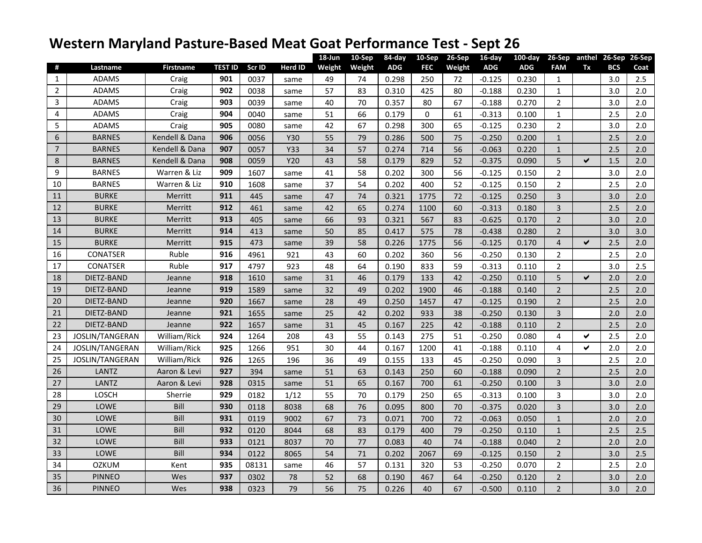## **Western Maryland Pasture-Based Meat Goat Performance Test - Sept 26**

|                |                        |                  |                |        |         | 18-Jun | 10-Sep | 84-day     | 10-Sep      | 26-Sep | 16-day     | $100$ -day | 26-Sep         |              | anthel 26-Sep | 26-Sep |
|----------------|------------------------|------------------|----------------|--------|---------|--------|--------|------------|-------------|--------|------------|------------|----------------|--------------|---------------|--------|
| #              | Lastname               | <b>Firstname</b> | <b>TEST ID</b> | Scr ID | Herd ID | Weight | Weight | <b>ADG</b> | <b>FEC</b>  | Weight | <b>ADG</b> | <b>ADG</b> | <b>FAM</b>     | Tx           | <b>BCS</b>    | Coat   |
| 1              | <b>ADAMS</b>           | Craig            | 901            | 0037   | same    | 49     | 74     | 0.298      | 250         | 72     | -0.125     | 0.230      | $\mathbf{1}$   |              | 3.0           | 2.5    |
| $\overline{2}$ | <b>ADAMS</b>           | Craig            | 902            | 0038   | same    | 57     | 83     | 0.310      | 425         | 80     | -0.188     | 0.230      | $\mathbf{1}$   |              | 3.0           | 2.0    |
| 3              | <b>ADAMS</b>           | Craig            | 903            | 0039   | same    | 40     | 70     | 0.357      | 80          | 67     | -0.188     | 0.270      | $\overline{2}$ |              | 3.0           | 2.0    |
| 4              | <b>ADAMS</b>           | Craig            | 904            | 0040   | same    | 51     | 66     | 0.179      | $\mathbf 0$ | 61     | $-0.313$   | 0.100      | $\mathbf{1}$   |              | 2.5           | 2.0    |
| 5              | <b>ADAMS</b>           | Craig            | 905            | 0080   | same    | 42     | 67     | 0.298      | 300         | 65     | $-0.125$   | 0.230      | $\overline{2}$ |              | 3.0           | 2.0    |
| 6              | <b>BARNES</b>          | Kendell & Dana   | 906            | 0056   | Y30     | 55     | 79     | 0.286      | 500         | 75     | $-0.250$   | 0.200      | $\mathbf{1}$   |              | 2.5           | 2.0    |
| $\overline{7}$ | <b>BARNES</b>          | Kendell & Dana   | 907            | 0057   | Y33     | 34     | 57     | 0.274      | 714         | 56     | $-0.063$   | 0.220      | $\mathbf{1}$   |              | 2.5           | 2.0    |
| 8              | <b>BARNES</b>          | Kendell & Dana   | 908            | 0059   | Y20     | 43     | 58     | 0.179      | 829         | 52     | $-0.375$   | 0.090      | 5              | ✔            | 1.5           | 2.0    |
| 9              | <b>BARNES</b>          | Warren & Liz     | 909            | 1607   | same    | 41     | 58     | 0.202      | 300         | 56     | $-0.125$   | 0.150      | $\overline{2}$ |              | 3.0           | 2.0    |
| 10             | <b>BARNES</b>          | Warren & Liz     | 910            | 1608   | same    | 37     | 54     | 0.202      | 400         | 52     | $-0.125$   | 0.150      | $\overline{2}$ |              | 2.5           | 2.0    |
| 11             | <b>BURKE</b>           | Merritt          | 911            | 445    | same    | 47     | 74     | 0.321      | 1775        | 72     | $-0.125$   | 0.250      | $\overline{3}$ |              | 3.0           | 2.0    |
| 12             | <b>BURKE</b>           | Merritt          | 912            | 461    | same    | 42     | 65     | 0.274      | 1100        | 60     | $-0.313$   | 0.180      | $\overline{3}$ |              | 2.5           | 2.0    |
| 13             | <b>BURKE</b>           | Merritt          | 913            | 405    | same    | 66     | 93     | 0.321      | 567         | 83     | $-0.625$   | 0.170      | $\overline{2}$ |              | 3.0           | 2.0    |
| 14             | <b>BURKE</b>           | Merritt          | 914            | 413    | same    | 50     | 85     | 0.417      | 575         | 78     | $-0.438$   | 0.280      | $\overline{2}$ |              | 3.0           | 3.0    |
| 15             | <b>BURKE</b>           | Merritt          | 915            | 473    | same    | 39     | 58     | 0.226      | 1775        | 56     | $-0.125$   | 0.170      | $\overline{4}$ | ✔            | 2.5           | 2.0    |
| 16             | <b>CONATSER</b>        | Ruble            | 916            | 4961   | 921     | 43     | 60     | 0.202      | 360         | 56     | $-0.250$   | 0.130      | $\overline{2}$ |              | 2.5           | 2.0    |
| 17             | <b>CONATSER</b>        | Ruble            | 917            | 4797   | 923     | 48     | 64     | 0.190      | 833         | 59     | $-0.313$   | 0.110      | $\overline{2}$ |              | 3.0           | 2.5    |
| 18             | DIETZ-BAND             | Jeanne           | 918            | 1610   | same    | 31     | 46     | 0.179      | 133         | 42     | $-0.250$   | 0.110      | 5              | $\checkmark$ | 2.0           | 2.0    |
| 19             | DIETZ-BAND             | Jeanne           | 919            | 1589   | same    | 32     | 49     | 0.202      | 1900        | 46     | $-0.188$   | 0.140      | $\overline{2}$ |              | 2.5           | 2.0    |
| 20             | DIETZ-BAND             | Jeanne           | 920            | 1667   | same    | 28     | 49     | 0.250      | 1457        | 47     | $-0.125$   | 0.190      | $\overline{2}$ |              | 2.5           | 2.0    |
| 21             | DIETZ-BAND             | Jeanne           | 921            | 1655   | same    | 25     | 42     | 0.202      | 933         | 38     | $-0.250$   | 0.130      | 3              |              | 2.0           | 2.0    |
| 22             | DIETZ-BAND             | Jeanne           | 922            | 1657   | same    | 31     | 45     | 0.167      | 225         | 42     | $-0.188$   | 0.110      | $\overline{2}$ |              | 2.5           | 2.0    |
| 23             | JOSLIN/TANGERAN        | William/Rick     | 924            | 1264   | 208     | 43     | 55     | 0.143      | 275         | 51     | $-0.250$   | 0.080      | 4              | ✔            | 2.5           | 2.0    |
| 24             | <b>JOSLIN/TANGERAN</b> | William/Rick     | 925            | 1266   | 951     | 30     | 44     | 0.167      | 1200        | 41     | $-0.188$   | 0.110      | $\overline{4}$ | ✔            | 2.0           | 2.0    |
| 25             | JOSLIN/TANGERAN        | William/Rick     | 926            | 1265   | 196     | 36     | 49     | 0.155      | 133         | 45     | $-0.250$   | 0.090      | 3              |              | 2.5           | 2.0    |
| 26             | <b>LANTZ</b>           | Aaron & Levi     | 927            | 394    | same    | 51     | 63     | 0.143      | 250         | 60     | $-0.188$   | 0.090      | $\overline{2}$ |              | 2.5           | 2.0    |
| 27             | LANTZ                  | Aaron & Levi     | 928            | 0315   | same    | 51     | 65     | 0.167      | 700         | 61     | $-0.250$   | 0.100      | $\overline{3}$ |              | 3.0           | 2.0    |
| 28             | LOSCH                  | Sherrie          | 929            | 0182   | 1/12    | 55     | 70     | 0.179      | 250         | 65     | $-0.313$   | 0.100      | 3              |              | 3.0           | 2.0    |
| 29             | LOWE                   | Bill             | 930            | 0118   | 8038    | 68     | 76     | 0.095      | 800         | 70     | $-0.375$   | 0.020      | $\overline{3}$ |              | 3.0           | 2.0    |
| 30             | LOWE                   | Bill             | 931            | 0119   | 9002    | 67     | 73     | 0.071      | 700         | 72     | $-0.063$   | 0.050      | $\mathbf{1}$   |              | 2.0           | 2.0    |
| 31             | LOWE                   | Bill             | 932            | 0120   | 8044    | 68     | 83     | 0.179      | 400         | 79     | $-0.250$   | 0.110      | $\mathbf{1}$   |              | 2.5           | 2.5    |
| 32             | LOWE                   | Bill             | 933            | 0121   | 8037    | 70     | 77     | 0.083      | 40          | 74     | $-0.188$   | 0.040      | $\overline{2}$ |              | 2.0           | 2.0    |
| 33             | LOWE                   | Bill             | 934            | 0122   | 8065    | 54     | 71     | 0.202      | 2067        | 69     | $-0.125$   | 0.150      | $\overline{2}$ |              | 3.0           | 2.5    |
| 34             | <b>OZKUM</b>           | Kent             | 935            | 08131  | same    | 46     | 57     | 0.131      | 320         | 53     | $-0.250$   | 0.070      | $\overline{2}$ |              | 2.5           | 2.0    |
| 35             | <b>PINNEO</b>          | Wes              | 937            | 0302   | 78      | 52     | 68     | 0.190      | 467         | 64     | $-0.250$   | 0.120      | $\overline{2}$ |              | 3.0           | 2.0    |
| 36             | <b>PINNEO</b>          | Wes              | 938            | 0323   | 79      | 56     | 75     | 0.226      | 40          | 67     | $-0.500$   | 0.110      | $\overline{2}$ |              | 3.0           | 2.0    |